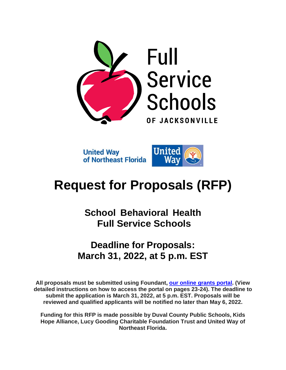

**United Way** of Northeast Florida



# **Request for Proposals (RFP)**

**School Behavioral Health Full Service Schools**

## **Deadline for Proposals: March 31, 2022, at 5 p.m. EST**

**All proposals must be submitted using Foundant, [our online grants portal.](https://www.grantinterface.com/Home/Logon?urlkey=uwnefl) (View detailed instructions on how to access the portal on pages 23-24). The deadline to submit the application is March 31, 2022, at 5 p.m. EST. Proposals will be reviewed and qualified applicants will be notified no later than May 6, 2022.**

**Funding for this RFP is made possible by Duval County Public Schools, Kids Hope Alliance, Lucy Gooding Charitable Foundation Trust and United Way of Northeast Florida.**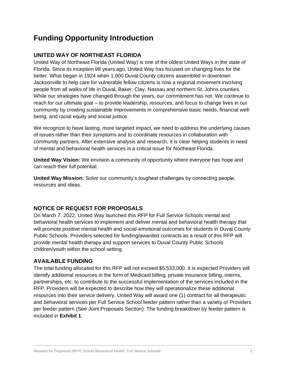## **Funding Opportunity Introduction**

#### **UNITED WAY OF NORTHEAST FLORIDA**

United Way of Northeast Florida (United Way) is one of the oldest United Ways in the state of Florida. Since its inception 98 years ago, United Way has focused on changing lives for the better. What began in 1924 when 1,000 Duval County citizens assembled in downtown Jacksonville to help care for vulnerable fellow citizens is now a regional movement involving people from all walks of life in Duval, Baker, Clay, Nassau and northern St. Johns counties. While our strategies have changed through the years, our commitment has not. We continue to reach for our ultimate goal – to provide leadership, resources, and focus to change lives in our community by creating sustainable improvements in comprehensive basic needs, financial wellbeing, and racial equity and social justice.

We recognize to have lasting, more targeted impact, we need to address the underlying causes of issues rather than their symptoms and to coordinate resources in collaboration with community partners. After extensive analysis and research, it is clear helping students in need of mental and behavioral health services is a critical issue for Northeast Florida.

**United Way Vision:** We envision a community of opportunity where everyone has hope and can reach their full potential.

**United Way Mission:** Solve our community's toughest challenges by connecting people, resources and ideas.

#### **NOTICE OF REQUEST FOR PROPOSALS**

On March 7, 2022, United Way launched this RFP for Full Service Schools mental and behavioral health services to implement and deliver mental and behavioral health therapy that will promote positive mental health and social-emotional outcomes for students in Duval County Public Schools. Providers selected for funding/awarded contracts as a result of this RFP will provide mental health therapy and support services to Duval County Public Schools children/youth within the school setting.

#### **AVAILABLE FUNDING**

The total funding allocated for this RFP will not exceed \$5,533,000. It is expected Providers will identify additional resources in the form of Medicaid billing, private insurance billing, interns, partnerships, etc. to contribute to the successful implementation of the services included in the RFP. Providers will be expected to describe how they will operationalize these additional resources into their service delivery. United Way will award one (1) contract for all therapeutic and behavioral services per Full Service School feeder pattern rather than a variety of Providers per feeder pattern (See Joint Proposals Section). The funding breakdown by feeder pattern is included in **Exhibit 1**.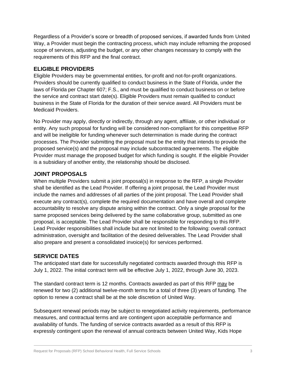Regardless of a Provider's score or breadth of proposed services, if awarded funds from United Way, a Provider must begin the contracting process, which may include reframing the proposed scope of services, adjusting the budget, or any other changes necessary to comply with the requirements of this RFP and the final contract.

#### **ELIGIBLE PROVIDERS**

Eligible Providers may be governmental entities, for-profit and not-for-profit organizations. Providers should be currently qualified to conduct business in the State of Florida, under the laws of Florida per Chapter 607; F.S., and must be qualified to conduct business on or before the service and contract start date(s). Eligible Providers must remain qualified to conduct business in the State of Florida for the duration of their service award. All Providers must be Medicaid Providers.

No Provider may apply, directly or indirectly, through any agent, affiliate, or other individual or entity. Any such proposal for funding will be considered non-compliant for this competitive RFP and will be ineligible for funding whenever such determination is made during the contract processes. The Provider submitting the proposal must be the entity that intends to provide the proposed service(s) and the proposal may include subcontracted agreements. The eligible Provider must manage the proposed budget for which funding is sought. If the eligible Provider is a subsidiary of another entity, the relationship should be disclosed.

#### **JOINT PROPOSALS**

When multiple Providers submit a joint proposal(s) in response to the RFP, a single Provider shall be identified as the Lead Provider. If offering a joint proposal, the Lead Provider must include the names and addresses of all parties of the joint proposal. The Lead Provider shall execute any contract(s), complete the required documentation and have overall and complete accountability to resolve any dispute arising within the contract. Only a single proposal for the same proposed services being delivered by the same collaborative group, submitted as one proposal, is acceptable. The Lead Provider shall be responsible for responding to this RFP. Lead Provider responsibilities shall include but are not limited to the following: overall contract administration, oversight and facilitation of the desired deliverables. The Lead Provider shall also prepare and present a consolidated invoice(s) for services performed.

#### **SERVICE DATES**

The anticipated start date for successfully negotiated contracts awarded through this RFP is July 1, 2022. The initial contract term will be effective July 1, 2022, through June 30, 2023.

The standard contract term is 12 months. Contracts awarded as part of this RFP may be renewed for two (2) additional twelve-month terms for a total of three (3) years of funding. The option to renew a contract shall be at the sole discretion of United Way.

Subsequent renewal periods may be subject to renegotiated activity requirements, performance measures, and contractual terms and are contingent upon acceptable performance and availability of funds. The funding of service contracts awarded as a result of this RFP is expressly contingent upon the renewal of annual contracts between United Way, Kids Hope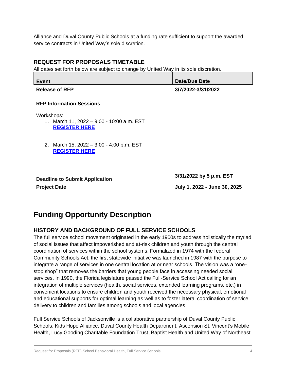Alliance and Duval County Public Schools at a funding rate sufficient to support the awarded service contracts in United Way's sole discretion.

#### **REQUEST FOR PROPOSALS TIMETABLE**

All dates set forth below are subject to change by United Way in its sole discretion.

| Event                 | <b>Date/Due Date</b> |
|-----------------------|----------------------|
| <b>Release of RFP</b> | 3/7/2022-3/31/2022   |

#### **RFP Information Sessions**

Workshops:

- 1. March 11, 2022 9:00 10:00 a.m. EST **[REGISTER HERE](https://us02web.zoom.us/meeting/register/tZUtc-CgqDIuEtwaZHAL5jNFrp4OONKCQ7Hn)**
- 2. March 15, 2022 3:00 4:00 p.m. EST **[REGISTER HERE](https://us02web.zoom.us/meeting/register/tZUuc-qrrz8tHNYraITzdAy5TdT0OHRbplhE)**

**Project Date July 1, 2022 - June 30, 2025**

**Deadline to Submit Application 3/31/2022 by 5 p.m. EST**

## **Funding Opportunity Description**

#### **HISTORY AND BACKGROUND OF FULL SERVICE SCHOOLS**

The full service school movement originated in the early 1900s to address holistically the myriad of social issues that affect impoverished and at-risk children and youth through the central coordination of services within the school systems. Formalized in 1974 with the federal Community Schools Act, the first statewide initiative was launched in 1987 with the purpose to integrate a range of services in one central location at or near schools. The vision was a "onestop shop" that removes the barriers that young people face in accessing needed social services. In 1990, the Florida legislature passed the Full-Service School Act calling for an integration of multiple services (health, social services, extended learning programs, etc.) in convenient locations to ensure children and youth received the necessary physical, emotional and educational supports for optimal learning as well as to foster lateral coordination of service delivery to children and families among schools and local agencies.

Full Service Schools of Jacksonville is a collaborative partnership of Duval County Public Schools, Kids Hope Alliance, Duval County Health Department, Ascension St. Vincent's Mobile Health, Lucy Gooding Charitable Foundation Trust, Baptist Health and United Way of Northeast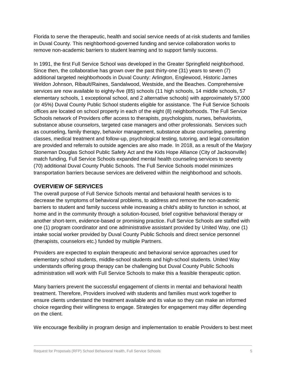Florida to serve the therapeutic, health and social service needs of at-risk students and families in Duval County. This neighborhood-governed funding and service collaboration works to remove non-academic barriers to student learning and to support family success.

In 1991, the first Full Service School was developed in the Greater Springfield neighborhood. Since then, the collaborative has grown over the past thirty-one (31) years to seven (7) additional targeted neighborhoods in Duval County: Arlington, Englewood, Historic James Weldon Johnson, Ribault/Raines, Sandalwood, Westside, and the Beaches. Comprehensive services are now available to eighty-five (85) schools (11 high schools, 14 middle schools, 57 elementary schools, 1 exceptional school, and 2 alternative schools) with approximately 57,000 (or 45%) Duval County Public School students eligible for assistance. The Full Service Schools offices are located on school property in each of the eight (8) neighborhoods. The Full Service Schools network of Providers offer access to therapists, psychologists, nurses, behaviorists, substance abuse counselors, targeted case managers and other professionals. Services such as counseling, family therapy, behavior management, substance abuse counseling, parenting classes, medical treatment and follow-up, psychological testing, tutoring, and legal consultation are provided and referrals to outside agencies are also made. In 2018, as a result of the Marjory Stoneman Douglas School Public Safety Act and the Kids Hope Alliance (City of Jacksonville) match funding, Full Service Schools expanded mental health counseling services to seventy (70) additional Duval County Public Schools. The Full Service Schools model minimizes transportation barriers because services are delivered within the neighborhood and schools.

#### **OVERVIEW OF SERVICES**

The overall purpose of Full Service Schools mental and behavioral health services is to decrease the symptoms of behavioral problems, to address and remove the non-academic barriers to student and family success while increasing a child's ability to function in school, at home and in the community through a solution-focused, brief cognitive behavioral therapy or another short-term, evidence-based or promising practice. Full Service Schools are staffed with one (1) program coordinator and one administrative assistant provided by United Way, one (1) intake social worker provided by Duval County Public Schools and direct service personnel (therapists, counselors etc.) funded by multiple Partners.

Providers are expected to explain therapeutic and behavioral service approaches used for elementary school students, middle-school students and high-school students. United Way understands offering group therapy can be challenging but Duval County Public Schools administration will work with Full Service Schools to make this a feasible therapeutic option.

Many barriers prevent the successful engagement of clients in mental and behavioral health treatment. Therefore, Providers involved with students and families must work together to ensure clients understand the treatment available and its value so they can make an informed choice regarding their willingness to engage. Strategies for engagement may differ depending on the client.

We encourage flexibility in program design and implementation to enable Providers to best meet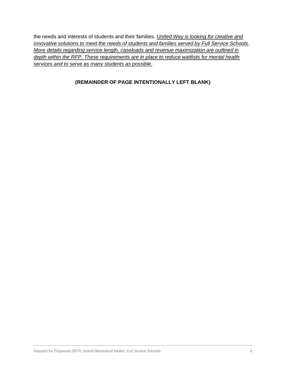the needs and interests of students and their families*. United Way is looking for creative and innovative solutions to meet the needs of students and families served by Full Service Schools*. *More details regarding service length, caseloads and revenue maximization are outlined in depth within the RFP. These requirements are in place to reduce waitlists for mental health services and to serve as many students as possible.*

#### **(REMAINDER OF PAGE INTENTIONALLY LEFT BLANK)**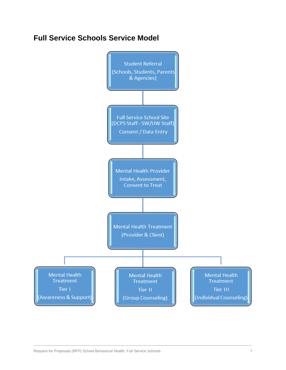## **Full Service Schools Service Model**

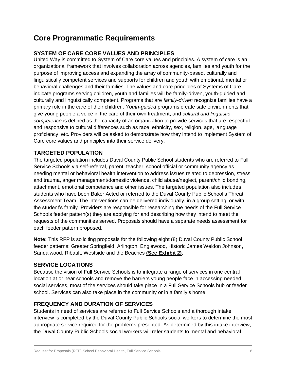## **Core Programmatic Requirements**

#### **SYSTEM OF CARE CORE VALUES AND PRINCIPLES**

United Way is committed to System of Care core values and principles. A system of care is an organizational framework that involves collaboration across agencies, families and youth for the purpose of improving access and expanding the array of community-based, culturally and linguistically competent services and supports for children and youth with emotional, mental or behavioral challenges and their families. The values and core principles of Systems of Care indicate programs serving children, youth and families will be family-driven, youth-guided and culturally and linguistically competent. Programs that are *family-driven* recognize families have a primary role in the care of their children. *Youth-guided* programs create safe environments that give young people a voice in the care of their own treatment, and *cultural and linguistic competence* is defined as the capacity of an organization to provide services that are respectful and responsive to cultural differences such as race, ethnicity, sex, religion, age, language proficiency, etc. Providers will be asked to demonstrate how they intend to implement System of Care core values and principles into their service delivery.

#### **TARGETED POPULATION**

The targeted population includes Duval County Public School students who are referred to Full Service Schools via self-referral, parent, teacher, school official or community agency as needing mental or behavioral health intervention to address issues related to depression, stress and trauma, anger management/domestic violence, child abuse/neglect, parent/child bonding, attachment, emotional competence and other issues. The targeted population also includes students who have been Baker Acted or referred to the Duval County Public School's Threat Assessment Team. The interventions can be delivered individually, in a group setting, or with the student's family. Providers are responsible for researching the needs of the Full Service Schools feeder pattern(s) they are applying for and describing how they intend to meet the requests of the communities served. Proposals should have a separate needs assessment for each feeder pattern proposed.

**Note:** This RFP is soliciting proposals for the following eight (8) Duval County Public School feeder patterns: Greater Springfield, Arlington, Englewood, Historic James Weldon Johnson, Sandalwood, Ribault, Westside and the Beaches **(See Exhibit 2).** 

#### **SERVICE LOCATIONS**

Because the vision of Full Service Schools is to integrate a range of services in one central location at or near schools and remove the barriers young people face in accessing needed social services, most of the services should take place in a Full Service Schools hub or feeder school. Services can also take place in the community or in a family's home.

#### **FREQUENCY AND DURATION OF SERVICES**

Students in need of services are referred to Full Service Schools and a thorough intake interview is completed by the Duval County Public Schools social workers to determine the most appropriate service required for the problems presented. As determined by this intake interview, the Duval County Public Schools social workers will refer students to mental and behavioral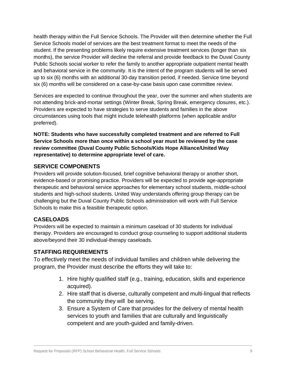health therapy within the Full Service Schools. The Provider will then determine whether the Full Service Schools model of services are the best treatment format to meet the needs of the student. If the presenting problems likely require extensive treatment services (longer than six months), the service Provider will decline the referral and provide feedback to the Duval County Public Schools social worker to refer the family to another appropriate outpatient mental health and behavioral service in the community. It is the intent of the program students will be served up to six (6) months with an additional 30-day transition period, if needed. Service time beyond six (6) months will be considered on a case-by-case basis upon case committee review.

Services are expected to continue throughout the year, over the summer and when students are not attending brick-and-mortar settings (Winter Break, Spring Break, emergency closures, etc.). Providers are expected to have strategies to serve students and families in the above circumstances using tools that might include telehealth platforms (when applicable and/or preferred).

**NOTE: Students who have successfully completed treatment and are referred to Full Service Schools more than once within a school year must be reviewed by the case review committee (Duval County Public Schools/Kids Hope Alliance/United Way representative) to determine appropriate level of care.**

#### **SERVICE COMPONENTS**

Providers will provide solution-focused, brief cognitive behavioral therapy or another short, evidence-based or promising practice. Providers will be expected to provide age-appropriate therapeutic and behavioral service approaches for elementary school students, middle-school students and high-school students. United Way understands offering group therapy can be challenging but the Duval County Public Schools administration will work with Full Service Schools to make this a feasible therapeutic option.

### **CASELOADS**

Providers will be expected to maintain a minimum caseload of 30 students for individual therapy. Providers are encouraged to conduct group counseling to support additional students above/beyond their 30 individual-therapy caseloads.

### **STAFFING REQUIREMENTS**

To effectively meet the needs of individual families and children while delivering the program, the Provider must describe the efforts they will take to:

- 1. Hire highly qualified staff (e.g., training, education, skills and experience acquired).
- 2. Hire staff that is diverse, culturally competent and multi-lingual that reflects the community they will be serving.
- 3. Ensure a System of Care that provides for the delivery of mental health services to youth and families that are culturally and linguistically competent and are youth-guided and family-driven.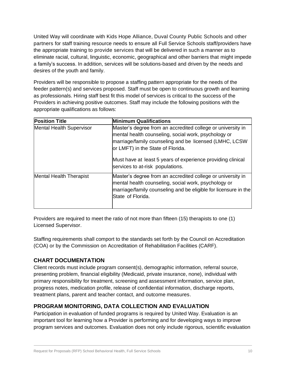United Way will coordinate with Kids Hope Alliance, Duval County Public Schools and other partners for staff training resource needs to ensure all Full Service Schools staff/providers have the appropriate training to provide services that will be delivered in such a manner as to eliminate racial, cultural, linguistic, economic, geographical and other barriers that might impede a family's success. In addition, services will be solutions-based and driven by the needs and desires of the youth and family.

Providers will be responsible to propose a staffing pattern appropriate for the needs of the feeder pattern(s) and services proposed. Staff must be open to continuous growth and learning as professionals. Hiring staff best fit this model of services is critical to the success of the Providers in achieving positive outcomes. Staff may include the following positions with the appropriate qualifications as follows:

| <b>Position Title</b>           | <b>Minimum Qualifications</b>                                                                                                                                                                                                                                                                                         |
|---------------------------------|-----------------------------------------------------------------------------------------------------------------------------------------------------------------------------------------------------------------------------------------------------------------------------------------------------------------------|
| <b>Mental Health Supervisor</b> | Master's degree from an accredited college or university in<br>mental health counseling, social work, psychology or<br>marriage/family counseling and be licensed (LMHC, LCSW<br>or LMFT) in the State of Florida.<br>Must have at least 5 years of experience providing clinical<br>services to at-risk populations. |
| Mental Health Therapist         | Master's degree from an accredited college or university in<br>mental health counseling, social work, psychology or<br>marriage/family counseling and be eligible for licensure in the<br>State of Florida.                                                                                                           |

Providers are required to meet the ratio of not more than fifteen (15) therapists to one (1) Licensed Supervisor.

Staffing requirements shall comport to the standards set forth by the Council on Accreditation (COA) or by the Commission on Accreditation of Rehabilitation Facilities (CARF).

### **CHART DOCUMENTATION**

Client records must include program consent(s), demographic information, referral source, presenting problem, financial eligibility (Medicaid, private insurance, none), individual with primary responsibility for treatment, screening and assessment information, service plan, progress notes, medication profile, release of confidential information, discharge reports, treatment plans, parent and teacher contact, and outcome measures.

### **PROGRAM MONITORING, DATA COLLECTION AND EVALUATION**

Participation in evaluation of funded programs is required by United Way. Evaluation is an important tool for learning how a Provider is performing and for developing ways to improve program services and outcomes. Evaluation does not only include rigorous, scientific evaluation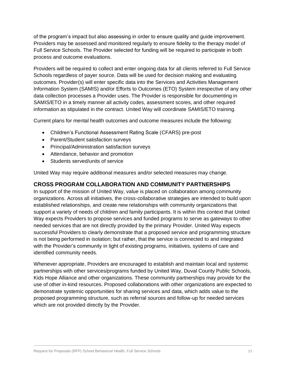of the program's impact but also assessing in order to ensure quality and guide improvement. Providers may be assessed and monitored regularly to ensure fidelity to the therapy model of Full Service Schools. The Provider selected for funding will be required to participate in both process and outcome evaluations.

Providers will be required to collect and enter ongoing data for all clients referred to Full Service Schools regardless of payer source. Data will be used for decision making and evaluating outcomes. Provider(s) will enter specific data into the Services and Activities Management Information System (SAMIS) and/or Efforts to Outcomes (ETO) System irrespective of any other data collection processes a Provider uses. The Provider is responsible for documenting in SAMIS/ETO in a timely manner all activity codes, assessment scores, and other required information as stipulated in the contract. United Way will coordinate SAMIS/ETO training.

Current plans for mental health outcomes and outcome measures include the following:

- Children's Functional Assessment Rating Scale (CFARS) pre-post
- Parent/Student satisfaction surveys
- Principal/Administration satisfaction surveys
- Attendance, behavior and promotion
- Students served/units of service

United Way may require additional measures and/or selected measures may change.

#### **CROSS PROGRAM COLLABORATION AND COMMUNITY PARTNERSHIPS**

In support of the mission of United Way, value is placed on collaboration among community organizations. Across all initiatives, the cross-collaborative strategies are intended to build upon established relationships, and create new relationships with community organizations that support a variety of needs of children and family participants. It is within this context that United Way expects Providers to propose services and funded programs to serve as gateways to other needed services that are not directly provided by the primary Provider. United Way expects successful Providers to clearly demonstrate that a proposed service and programming structure is not being performed in isolation; but rather, that the service is connected to and integrated with the Provider's community in light of existing programs, initiatives, systems of care and identified community needs.

Whenever appropriate, Providers are encouraged to establish and maintain local and systemic partnerships with other services/programs funded by United Way, Duval County Public Schools, Kids Hope Alliance and other organizations. These community partnerships may provide for the use of other in-kind resources. Proposed collaborations with other organizations are expected to demonstrate systemic opportunities for sharing services and data, which adds value to the proposed programming structure, such as referral sources and follow-up for needed services which are not provided directly by the Provider.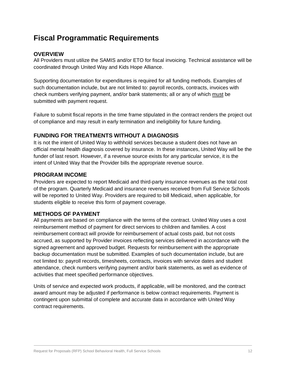## **Fiscal Programmatic Requirements**

#### **OVERVIEW**

All Providers must utilize the SAMIS and/or ETO for fiscal invoicing. Technical assistance will be coordinated through United Way and Kids Hope Alliance.

Supporting documentation for expenditures is required for all funding methods. Examples of such documentation include, but are not limited to: payroll records, contracts, invoices with check numbers verifying payment, and/or bank statements; all or any of which must be submitted with payment request.

Failure to submit fiscal reports in the time frame stipulated in the contract renders the project out of compliance and may result in early termination and ineligibility for future funding.

#### **FUNDING FOR TREATMENTS WITHOUT A DIAGNOSIS**

It is not the intent of United Way to withhold services because a student does not have an official mental health diagnosis covered by insurance. In these instances, United Way will be the funder of last resort. However, if a revenue source exists for any particular service, it is the intent of United Way that the Provider bills the appropriate revenue source.

#### **PROGRAM INCOME**

Providers are expected to report Medicaid and third-party insurance revenues as the total cost of the program. Quarterly Medicaid and insurance revenues received from Full Service Schools will be reported to United Way. Providers are required to bill Medicaid, when applicable, for students eligible to receive this form of payment coverage.

#### **METHODS OF PAYMENT**

All payments are based on compliance with the terms of the contract. United Way uses a cost reimbursement method of payment for direct services to children and families. A cost reimbursement contract will provide for reimbursement of actual costs paid, but not costs accrued, as supported by Provider invoices reflecting services delivered in accordance with the signed agreement and approved budget. Requests for reimbursement with the appropriate backup documentation must be submitted. Examples of such documentation include, but are not limited to: payroll records, timesheets, contracts, invoices with service dates and student attendance, check numbers verifying payment and/or bank statements, as well as evidence of activities that meet specified performance objectives.

Units of service and expected work products, if applicable, will be monitored, and the contract award amount may be adjusted if performance is below contract requirements. Payment is contingent upon submittal of complete and accurate data in accordance with United Way contract requirements.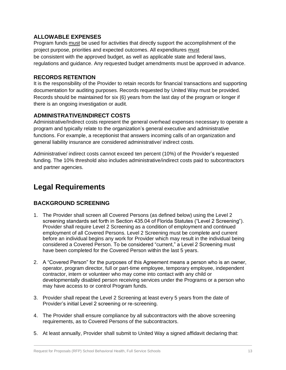#### **ALLOWABLE EXPENSES**

Program funds must be used for activities that directly support the accomplishment of the project purpose, priorities and expected outcomes. All expenditures must be consistent with the approved budget, as well as applicable state and federal laws, regulations and guidance. Any requested budget amendments must be approved in advance.

#### **RECORDS RETENTION**

It is the responsibility of the Provider to retain records for financial transactions and supporting documentation for auditing purposes. Records requested by United Way must be provided. Records should be maintained for six (6) years from the last day of the program or longer if there is an ongoing investigation or audit.

#### **ADMINISTRATIVE/INDIRECT COSTS**

Administrative/Indirect costs represent the general overhead expenses necessary to operate a program and typically relate to the organization's general executive and administrative functions. For example, a receptionist that answers incoming calls of an organization and general liability insurance are considered administrative/ indirect costs.

Administrative/ indirect costs cannot exceed ten percent (10%) of the Provider's requested funding. The 10% threshold also includes administrative/indirect costs paid to subcontractors and partner agencies.

## **Legal Requirements**

#### **BACKGROUND SCREENING**

- 1. The Provider shall screen all Covered Persons (as defined below) using the Level 2 screening standards set forth in Section 435.04 of Florida Statutes ("Level 2 Screening"). Provider shall require Level 2 Screening as a condition of employment and continued employment of all Covered Persons. Level 2 Screening must be complete and current before an individual begins any work for Provider which may result in the individual being considered a Covered Person. To be considered "current," a Level 2 Screening must have been completed for the Covered Person within the last 5 years.
- 2. A "Covered Person" for the purposes of this Agreement means a person who is an owner, operator, program director, full or part-time employee, temporary employee, independent contractor, intern or volunteer who may come into contact with any child or developmentally disabled person receiving services under the Programs or a person who may have access to or control Program funds.
- 3. Provider shall repeat the Level 2 Screening at least every 5 years from the date of Provider's initial Level 2 screening or re-screening.
- 4. The Provider shall ensure compliance by all subcontractors with the above screening requirements, as to Covered Persons of the subcontractors.
- 5. At least annually, Provider shall submit to United Way a signed affidavit declaring that: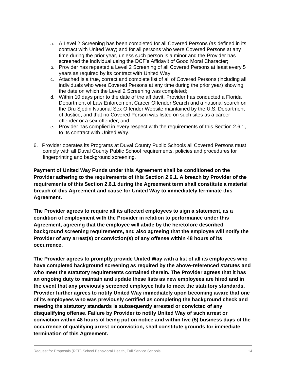- a. A Level 2 Screening has been completed for all Covered Persons (as defined in its contract with United Way) and for all persons who were Covered Persons at any time during the prior year, unless such person is a minor and the Provider has screened the individual using the DCF's Affidavit of Good Moral Character;
- b. Provider has repeated a Level 2 Screening of all Covered Persons at least every 5 years as required by its contract with United Way;
- c. Attached is a true, correct and complete list of all of Covered Persons (including all individuals who were Covered Persons at any time during the prior year) showing the date on which the Level 2 Screening was completed;
- d. Within 10 days prior to the date of the affidavit, Provider has conducted a Florida Department of Law Enforcement Career Offender Search and a national search on the Dru Sjodin National Sex Offender Website maintained by the U.S. Department of Justice, and that no Covered Person was listed on such sites as a career offender or a sex offender; and
- e. Provider has complied in every respect with the requirements of this Section 2.6.1, to its contract with United Way.
- 6. Provider operates its Programs at Duval County Public Schools all Covered Persons must comply with all Duval County Public School requirements, policies and procedures for fingerprinting and background screening.

**Payment of United Way Funds under this Agreement shall be conditioned on the Provider adhering to the requirements of this Section 2.6.1. A breach by Provider of the requirements of this Section 2.6.1 during the Agreement term shall constitute a material breach of this Agreement and cause for United Way to immediately terminate this Agreement.**

**The Provider agrees to require all its affected employees to sign a statement, as a condition of employment with the Provider in relation to performance under this Agreement, agreeing that the employee will abide by the heretofore described background screening requirements, and also agreeing that the employee will notify the Provider of any arrest(s) or conviction(s) of any offense within 48 hours of its occurrence.**

**The Provider agrees to promptly provide United Way with a list of all its employees who have completed background screening as required by the above-referenced statutes and who meet the statutory requirements contained therein. The Provider agrees that it has an ongoing duty to maintain and update these lists as new employees are hired and in the event that any previously screened employee fails to meet the statutory standards. Provider further agrees to notify United Way immediately upon becoming aware that one of its employees who was previously certified as completing the background check and meeting the statutory standards is subsequently arrested or convicted of any disqualifying offense. Failure by Provider to notify United Way of such arrest or conviction within 48 hours of being put on notice and within five (5) business days of the occurrence of qualifying arrest or conviction, shall constitute grounds for immediate termination of this Agreement.**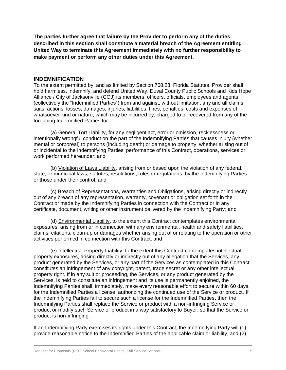**The parties further agree that failure by the Provider to perform any of the duties described in this section shall constitute a material breach of the Agreement entitling United Way to terminate this Agreement immediately with no further responsibility to make payment or perform any other duties under this Agreement.**

#### **INDEMNIFICATION**

To the extent permitted by, and as limited by Section 768.28, Florida Statutes, Provider shall hold harmless, indemnify, and defend United Way, Duval County Public Schools and Kids Hope Alliance / City of Jacksonville (COJ) its members, officers, officials, employees and agents (collectively the "Indemnified Parties") from and against, without limitation, any and all claims, suits, actions, losses, damages, injuries, liabilities, fines, penalties, costs and expenses of whatsoever kind or nature, which may be incurred by, charged to or recovered from any of the foregoing Indemnified Parties for:

(a) General Tort Liability, for any negligent act, error or omission, recklessness or intentionally wrongful conduct on the part of the Indemnifying Parties that causes injury (whether mental or corporeal) to persons (including death) or damage to property, whether arising out of or incidental to the Indemnifying Parties' performance of this Contract, operations, services or work performed hereunder; and

(b) Violation of Laws Liability, arising from or based upon the violation of any federal, state, or municipal laws, statutes, resolutions, rules or regulations, by the Indemnifying Parties or those under their control; and

(c) Breach of Representations, Warranties and Obligations, arising directly or indirectly out of any breach of any representation, warranty, covenant or obligation set forth in the Contract or made by the Indemnifying Parties in connection with the Contract or in any certificate, document, writing or other instrument delivered by the Indemnifying Party; and

(d) Environmental Liability, to the extent this Contract contemplates environmental exposures, arising from or in connection with any environmental, health and safety liabilities, claims, citations, clean-up or damages whether arising out of or relating to the operation or other activities performed in connection with this Contract; and

(e) Intellectual Property Liability, to the extent this Contract contemplates intellectual property exposures, arising directly or indirectly out of any allegation that the Services, any product generated by the Services, or any part of the Services as contemplated in this Contract, constitutes an infringement of any copyright, patent, trade secret or any other intellectual property right. If in any suit or proceeding, the Services, or any product generated by the Services, is held to constitute an infringement and its use is permanently enjoined, the Indemnifying Parties shall, immediately, make every reasonable effort to secure within 60 days, for the Indemnified Parties a license, authorizing the continued use of the Service or product. If the Indemnifying Parties fail to secure such a license for the Indemnified Parties, then the Indemnifying Parties shall replace the Service or product with a non-infringing Service or product or modify such Service or product in a way satisfactory to Buyer, so that the Service or product is non-infringing.

If an Indemnifying Party exercises its rights under this Contract, the Indemnifying Party will (1) provide reasonable notice to the Indemnified Parties of the applicable claim or liability, and (2)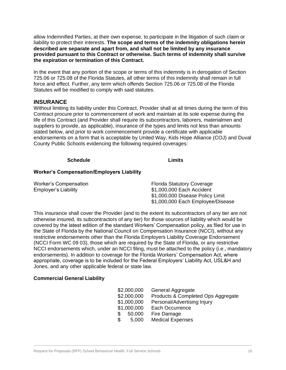allow Indemnified Parties, at their own expense, to participate in the litigation of such claim or liability to protect their interests. **The scope and terms of the indemnity obligations herein described are separate and apart from, and shall not be limited by any insurance provided pursuant to this Contract or otherwise. Such terms of indemnity shall survive the expiration or termination of this Contract.**

In the event that any portion of the scope or terms of this indemnity is in derogation of Section 725.06 or 725.08 of the Florida Statutes, all other terms of this indemnity shall remain in full force and effect. Further, any term which offends Section 725.06 or 725.08 of the Florida Statutes will be modified to comply with said statutes.

#### **INSURANCE**

Without limiting its liability under this Contract, Provider shall at all times during the term of this Contract procure prior to commencement of work and maintain at its sole expense during the life of this Contract (and Provider shall require its subcontractors, laborers, materialmen and suppliers to provide, as applicable), insurance of the types and limits not less than amounts stated below, and prior to work commencement provide a certificate with applicable endorsements on a form that is acceptable by United Way, Kids Hope Alliance (COJ) and Duval County Public Schools evidencing the following required coverages:

#### **Schedule Limits**

#### **Worker's Compensation/Employers Liability**

| Worker's Compensation | <b>Florida Statutory Coverage</b> |
|-----------------------|-----------------------------------|
| Employer's Liability  | \$1,000,000 Each Accident         |
|                       | \$1,000,000 Disease Policy Limit  |
|                       | \$1,000,000 Each Employee/Disease |

This insurance shall cover the Provider (and to the extent its subcontractors of any tier are not otherwise insured, its subcontractors of any tier) for those sources of liability which would be covered by the latest edition of the standard Workers' Compensation policy, as filed for use in the State of Florida by the National Council on Compensation Insurance (NCCI), without any restrictive endorsements other than the Florida Employers Liability Coverage Endorsement (NCCI Form WC 09 03), those which are required by the State of Florida, or any restrictive NCCI endorsements which, under an NCCI filing, must be attached to the policy (i.e., mandatory endorsements). In addition to coverage for the Florida Workers' Compensation Act, where appropriate, coverage is to be included for the Federal Employers' Liability Act, USL&H and Jones, and any other applicable federal or state law.

#### **Commercial General Liability**

| \$2,000,000  | General Aggregate                  |
|--------------|------------------------------------|
| \$2,000,000  | Products & Completed Ops Aggregate |
| \$1,000,000  | Personal/Advertising Injury        |
| \$1,000,000  | Each Occurrence                    |
| 50,000<br>\$ | Fire Damage                        |
| \$<br>5,000  | <b>Medical Expenses</b>            |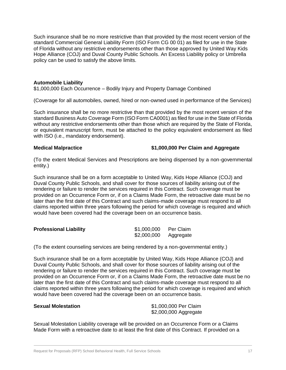Such insurance shall be no more restrictive than that provided by the most recent version of the standard Commercial General Liability Form (ISO Form CG 00 01) as filed for use in the State of Florida without any restrictive endorsements other than those approved by United Way Kids Hope Alliance (COJ) and Duval County Public Schools. An Excess Liability policy or Umbrella policy can be used to satisfy the above limits.

#### **Automobile Liability**

\$1,000,000 Each Occurrence – Bodily Injury and Property Damage Combined

(Coverage for all automobiles, owned, hired or non-owned used in performance of the Services)

Such insurance shall be no more restrictive than that provided by the most recent version of the standard Business Auto Coverage Form (ISO Form CA0001) as filed for use in the State of Florida without any restrictive endorsements other than those which are required by the State of Florida, or equivalent manuscript form, must be attached to the policy equivalent endorsement as filed with ISO (i.e., mandatory endorsement).

#### **Medical Malpractice \$1,000,000 Per Claim and Aggregate**

(To the extent Medical Services and Prescriptions are being dispensed by a non-governmental entity.)

Such insurance shall be on a form acceptable to United Way, Kids Hope Alliance (COJ) and Duval County Public Schools, and shall cover for those sources of liability arising out of the rendering or failure to render the services required in this Contract. Such coverage must be provided on an Occurrence Form or, if on a Claims Made Form, the retroactive date must be no later than the first date of this Contract and such claims-made coverage must respond to all claims reported within three years following the period for which coverage is required and which would have been covered had the coverage been on an occurrence basis.

| <b>Professional Liability</b> | \$1,000,000 | Per Claim |
|-------------------------------|-------------|-----------|
|                               | \$2,000,000 | Aggregate |

(To the extent counseling services are being rendered by a non-governmental entity.)

Such insurance shall be on a form acceptable by United Way, Kids Hope Alliance (COJ) and Duval County Public Schools, and shall cover for those sources of liability arising out of the rendering or failure to render the services required in this Contract. Such coverage must be provided on an Occurrence Form or, if on a Claims Made Form, the retroactive date must be no later than the first date of this Contract and such claims-made coverage must respond to all claims reported within three years following the period for which coverage is required and which would have been covered had the coverage been on an occurrence basis.

**Sexual Molestation** \$1,000,000 Per Claim \$2,000,000 Aggregate

Sexual Molestation Liability coverage will be provided on an Occurrence Form or a Claims Made Form with a retroactive date to at least the first date of this Contract. If provided on a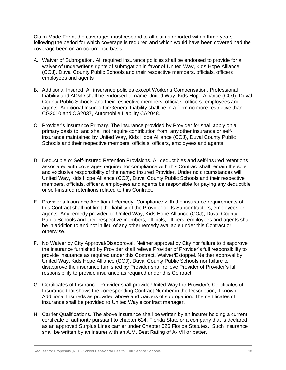Claim Made Form, the coverages must respond to all claims reported within three years following the period for which coverage is required and which would have been covered had the coverage been on an occurrence basis.

- A. Waiver of Subrogation. All required insurance policies shall be endorsed to provide for a waiver of underwriter's rights of subrogation in favor of United Way, Kids Hope Alliance (COJ), Duval County Public Schools and their respective members, officials, officers employees and agents
- B. Additional Insured: All insurance policies except Worker's Compensation, Professional Liability and AD&D shall be endorsed to name United Way, Kids Hope Alliance (COJ), Duval County Public Schools and their respective members, officials, officers, employees and agents. Additional Insured for General Liability shall be in a form no more restrictive than CG2010 and CG2037, Automobile Liability CA2048.
- C. Provider's Insurance Primary. The insurance provided by Provider for shall apply on a primary basis to, and shall not require contribution from, any other insurance or selfinsurance maintained by United Way, Kids Hope Alliance (COJ), Duval County Public Schools and their respective members, officials, officers, employees and agents.
- D. Deductible or Self-Insured Retention Provisions. All deductibles and self-insured retentions associated with coverages required for compliance with this Contract shall remain the sole and exclusive responsibility of the named insured Provider. Under no circumstances will United Way, Kids Hope Alliance (COJ), Duval County Public Schools and their respective members, officials, officers, employees and agents be responsible for paying any deductible or self-insured retentions related to this Contract.
- E. Provider's Insurance Additional Remedy. Compliance with the insurance requirements of this Contract shall not limit the liability of the Provider or its Subcontractors, employees or agents. Any remedy provided to United Way, Kids Hope Alliance (COJ), Duval County Public Schools and their respective members, officials, officers, employees and agents shall be in addition to and not in lieu of any other remedy available under this Contract or otherwise.
- F. No Waiver by City Approval/Disapproval. Neither approval by City nor failure to disapprove the insurance furnished by Provider shall relieve Provider of Provider's full responsibility to provide insurance as required under this Contract. Waiver/Estoppel. Neither approval by United Way, Kids Hope Alliance (COJ), Duval County Public Schools nor failure to disapprove the insurance furnished by Provider shall relieve Provider of Provider's full responsibility to provide insurance as required under this Contract.
- G. Certificates of Insurance. Provider shall provide United Way the Provider's Certificates of Insurance that shows the corresponding Contract Number in the Description, if known. Additional Insureds as provided above and waivers of subrogation. The certificates of insurance shall be provided to United Way's contract manager.
- H. Carrier Qualifications. The above insurance shall be written by an insurer holding a current certificate of authority pursuant to chapter 624, Florida State or a company that is declared as an approved Surplus Lines carrier under Chapter 626 Florida Statutes. Such Insurance shall be written by an insurer with an A.M. Best Rating of A- VII or better.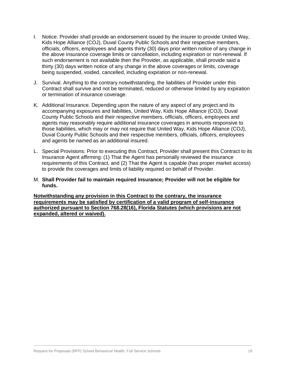- I. Notice. Provider shall provide an endorsement issued by the insurer to provide United Way, Kids Hope Alliance (COJ), Duval County Public Schools and their respective members, officials, officers, employees and agents thirty (30) days prior written notice of any change in the above insurance coverage limits or cancellation, including expiration or non-renewal. If such endorsement is not available then the Provider, as applicable, shall provide said a thirty (30) days written notice of any change in the above coverages or limits, coverage being suspended, voided, cancelled, including expiration or non-renewal.
- J. Survival. Anything to the contrary notwithstanding, the liabilities of Provider under this Contract shall survive and not be terminated, reduced or otherwise limited by any expiration or termination of insurance coverage.
- K. Additional Insurance. Depending upon the nature of any aspect of any project and its accompanying exposures and liabilities, United Way, Kids Hope Alliance (COJ), Duval County Public Schools and their respective members, officials, officers, employees and agents may reasonably require additional insurance coverages in amounts responsive to those liabilities, which may or may not require that United Way, Kids Hope Alliance (COJ), Duval County Public Schools and their respective members, officials, officers, employees and agents be named as an additional insured.
- L. Special Provisions: Prior to executing this Contract, Provider shall present this Contract to its Insurance Agent affirming: (1) That the Agent has personally reviewed the insurance requirements of this Contract, and (2) That the Agent is capable (has proper market access) to provide the coverages and limits of liability required on behalf of Provider.
- M. **Shall Provider fail to maintain required insurance; Provider will not be eligible for funds.**

**Notwithstanding any provision in this Contract to the contrary, the insurance requirements may be satisfied by certification of a valid program of self-insurance authorized pursuant to Section 768.28(16), Florida Statutes (which provisions are not expanded, altered or waived).**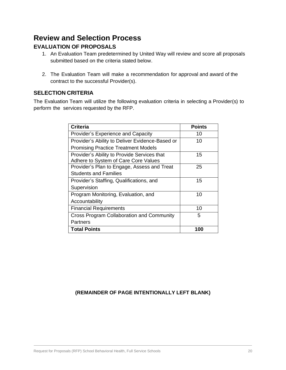## **Review and Selection Process EVALUATION OF PROPOSALS**

- 1. An Evaluation Team predetermined by United Way will review and score all proposals submitted based on the criteria stated below.
- 2. The Evaluation Team will make a recommendation for approval and award of the contract to the successful Provider(s).

#### **SELECTION CRITERIA**

The Evaluation Team will utilize the following evaluation criteria in selecting a Provider(s) to perform the services requested by the RFP.

| <b>Criteria</b>                                 | <b>Points</b> |
|-------------------------------------------------|---------------|
| <b>Provider's Experience and Capacity</b>       | 10            |
| Provider's Ability to Deliver Evidence-Based or | 10            |
| <b>Promising Practice Treatment Models</b>      |               |
| Provider's Ability to Provide Services that     | 15            |
| Adhere to System of Care Core Values            |               |
| Provider's Plan to Engage, Assess and Treat     | 25            |
| <b>Students and Families</b>                    |               |
| Provider's Staffing, Qualifications, and        | 15            |
| Supervision                                     |               |
| Program Monitoring, Evaluation, and             | 10            |
| Accountability                                  |               |
| <b>Financial Requirements</b>                   | 10            |
| Cross Program Collaboration and Community       | 5             |
| Partners                                        |               |
| <b>Total Points</b>                             | 100           |

#### **(REMAINDER OF PAGE INTENTIONALLY LEFT BLANK)**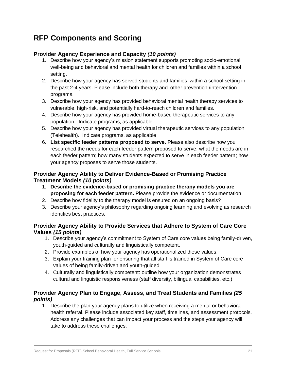## **RFP Components and Scoring**

#### **Provider Agency Experience and Capacity** *(10 points)*

- 1. Describe how your agency's mission statement supports promoting socio-emotional well-being and behavioral and mental health for children and families within a school setting.
- 2. Describe how your agency has served students and families within a school setting in the past 2-4 years. Please include both therapy and other prevention /intervention programs.
- 3. Describe how your agency has provided behavioral mental health therapy services to vulnerable, high-risk, and potentially hard-to-reach children and families.
- 4. Describe how your agency has provided home-based therapeutic services to any population. Indicate programs, as applicable.
- 5. Describe how your agency has provided virtual therapeutic services to any population (Telehealth). Indicate programs, as applicable
- 6. **List specific feeder patterns proposed to serve**. Please also describe how you researched the needs for each feeder pattern proposed to serve; what the needs are in each feeder pattern; how many students expected to serve in each feeder pattern; how your agency proposes to serve those students.

#### **Provider Agency Ability to Deliver Evidence-Based or Promising Practice Treatment Models** *(10 points)*

- 1. **Describe the evidence-based or promising practice therapy models you are proposing for each feeder pattern.** Please provide the evidence or documentation.
- 2. Describe how fidelity to the therapy model is ensured on an ongoing basis?
- 3. Describe your agency's philosophy regarding ongoing learning and evolving as research identifies best practices.

#### **Provider Agency Ability to Provide Services that Adhere to System of Care Core Values** *(15 points)*

- 1. Describe your agency's commitment to System of Care core values being family-driven, youth-guided and culturally and linguistically competent.
- 2. Provide examples of how your agency has operationalized these values.
- 3. Explain your training plan for ensuring that all staff is trained in System of Care core values of being family-driven and youth-guided
- 4. Culturally and linguistically competent: outline how your organization demonstrates cultural and linguistic responsiveness (staff diversity, bilingual capabilities, etc.)

#### **Provider Agency Plan to Engage, Assess, and Treat Students and Families** *(25 points)*

1. Describe the plan your agency plans to utilize when receiving a mental or behavioral health referral. Please include associated key staff, timelines, and assessment protocols. Address any challenges that can impact your process and the steps your agency will take to address these challenges.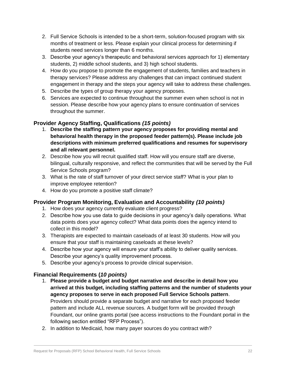- 2. Full Service Schools is intended to be a short-term, solution-focused program with six months of treatment or less. Please explain your clinical process for determining if students need services longer than 6 months.
- 3. Describe your agency's therapeutic and behavioral services approach for 1) elementary students, 2) middle school students, and 3) high school students.
- 4. How do you propose to promote the engagement of students, families and teachers in therapy services? Please address any challenges that can impact continued student engagement in therapy and the steps your agency will take to address these challenges.
- 5. Describe the types of group therapy your agency proposes.
- 6. Services are expected to continue throughout the summer even when school is not in session. Please describe how your agency plans to ensure continuation of services throughout the summer.

#### **Provider Agency Staffing, Qualifications** *(15 points)*

- 1. **Describe the staffing pattern your agency proposes for providing mental and behavioral health therapy in the proposed feeder pattern(s). Please include job descriptions with minimum preferred qualifications and resumes for supervisory and all relevant personnel.**
- 2. Describe how you will recruit qualified staff. How will you ensure staff are diverse, bilingual, culturally responsive, and reflect the communities that will be served by the Full Service Schools program?
- 3. What is the rate of staff turnover of your direct service staff? What is your plan to improve employee retention?
- 4. How do you promote a positive staff climate?

#### **Provider Program Monitoring, Evaluation and Accountability** *(10 points)*

- 1. How does your agency currently evaluate client progress?
- 2. Describe how you use data to guide decisions in your agency's daily operations. What data points does your agency collect? What data points does the agency intend to collect in this model?
- 3. Therapists are expected to maintain caseloads of at least 30 students. How will you ensure that your staff is maintaining caseloads at these levels?
- 4. Describe how your agency will ensure your staff's ability to deliver quality services. Describe your agency's quality improvement process.
- 5. Describe your agency's process to provide clinical supervision.

### **Financial Requirements (***10 points)*

- 1. **Please provide a budget and budget narrative and describe in detail how you arrived at this budget, including staffing patterns and the number of students your agency proposes to serve in each proposed Full Service Schools pattern**. Providers should provide a separate budget and narrative for each proposed feeder pattern and include ALL revenue sources. A budget form will be provided through Foundant, our online grants portal (see access instructions to the Foundant portal in the following section entitled "RFP Process").
- 2. In addition to Medicaid, how many payer sources do you contract with?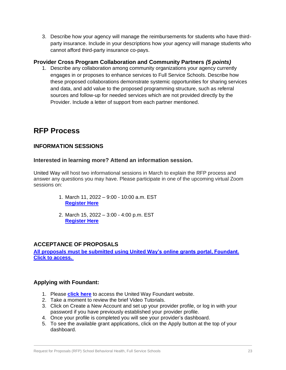3. Describe how your agency will manage the reimbursements for students who have thirdparty insurance. Include in your descriptions how your agency will manage students who cannot afford third-party insurance co-pays.

#### **Provider Cross Program Collaboration and Community Partners** *(5 points)*

1. Describe any collaboration among community organizations your agency currently engages in or proposes to enhance services to Full Service Schools. Describe how these proposed collaborations demonstrate systemic opportunities for sharing services and data, and add value to the proposed programming structure, such as referral sources and follow-up for needed services which are not provided directly by the Provider. Include a letter of support from each partner mentioned.

## **RFP Process**

#### **INFORMATION SESSIONS**

#### **Interested in learning more? Attend an information session.**

United Way will host two informational sessions in March to explain the RFP process and answer any questions you may have. Please participate in one of the upcoming virtual Zoom sessions on:

- 1. March 11, 2022 9:00 10:00 a.m. EST **[Register Here](https://us02web.zoom.us/meeting/register/tZUtc-CgqDIuEtwaZHAL5jNFrp4OONKCQ7Hn)**
- 2. March 15, 2022 3:00 4:00 p.m. EST **[Register Here](https://us02web.zoom.us/meeting/register/tZUuc-qrrz8tHNYraITzdAy5TdT0OHRbplhE)**

#### **ACCEPTANCE OF PROPOSALS**

**[All proposals must be submitted using United Way's online grants portal, Foundant.](https://www.grantinterface.com/Home/Logon?urlkey=uwnefl)  [Click to access.](https://www.grantinterface.com/Home/Logon?urlkey=uwnefl)**

#### **Applying with Foundant:**

- 1. Please **[click here](https://www.grantinterface.com/Home/Logon?urlkey=uwnefl)** to access the United Way Foundant website.
- 2. Take a moment to review the brief Video Tutorials.
- 3. Click on Create a New Account and set up your provider profile, or log in with your password if you have previously established your provider profile.
- 4. Once your profile is completed you will see your provider's dashboard.
- 5. To see the available grant applications, click on the Apply button at the top of your dashboard.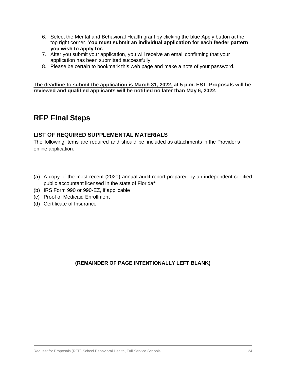- 6. Select the Mental and Behavioral Health grant by clicking the blue Apply button at the top right corner. **You must submit an individual application for each feeder pattern you wish to apply for.**
- 7. After you submit your application, you will receive an email confirming that your application has been submitted successfully.
- 8. Please be certain to bookmark this web page and make a note of your password.

**The deadline to submit the application is March 31, 2022, at 5 p.m. EST. Proposals will be reviewed and qualified applicants will be notified no later than May 6, 2022.**

## **RFP Final Steps**

#### **LIST OF REQUIRED SUPPLEMENTAL MATERIALS**

The following items are required and should be included as attachments in the Provider's online application:

- (a) A copy of the most recent (2020) annual audit report prepared by an independent certified public accountant licensed in the state of Florida**\***
- (b) IRS Form 990 or 990-EZ, if applicable
- (c) Proof of Medicaid Enrollment
- (d) Certificate of Insurance

#### **(REMAINDER OF PAGE INTENTIONALLY LEFT BLANK)**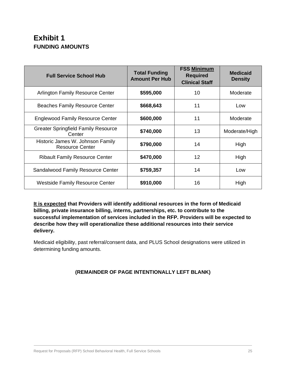## **Exhibit 1 FUNDING AMOUNTS**

| <b>Full Service School Hub</b>                             | <b>Total Funding</b><br><b>Amount Per Hub</b> | <b>FSS Minimum</b><br><b>Required</b><br><b>Clinical Staff</b> | <b>Medicaid</b><br><b>Density</b> |
|------------------------------------------------------------|-----------------------------------------------|----------------------------------------------------------------|-----------------------------------|
| Arlington Family Resource Center                           | \$595,000                                     | 10                                                             | Moderate                          |
| <b>Beaches Family Resource Center</b>                      | \$668,643                                     | 11                                                             | Low                               |
| <b>Englewood Family Resource Center</b>                    | \$600,000                                     | 11                                                             | Moderate                          |
| <b>Greater Springfield Family Resource</b><br>Center       | \$740,000                                     | 13                                                             | Moderate/High                     |
| Historic James W. Johnson Family<br><b>Resource Center</b> | \$790,000                                     | 14                                                             | High                              |
| <b>Ribault Family Resource Center</b>                      | \$470,000                                     | $12 \overline{ }$                                              | High                              |
| Sandalwood Family Resource Center                          | \$759,357                                     | 14                                                             | Low                               |
| <b>Westside Family Resource Center</b>                     | \$910,000                                     | 16                                                             | High                              |

**It is expected that Providers will identify additional resources in the form of Medicaid billing, private insurance billing, interns, partnerships, etc. to contribute to the successful implementation of services included in the RFP. Providers will be expected to describe how they will operationalize these additional resources into their service delivery.**

Medicaid eligibility, past referral/consent data, and PLUS School designations were utilized in determining funding amounts.

#### **(REMAINDER OF PAGE INTENTIONALLY LEFT BLANK)**